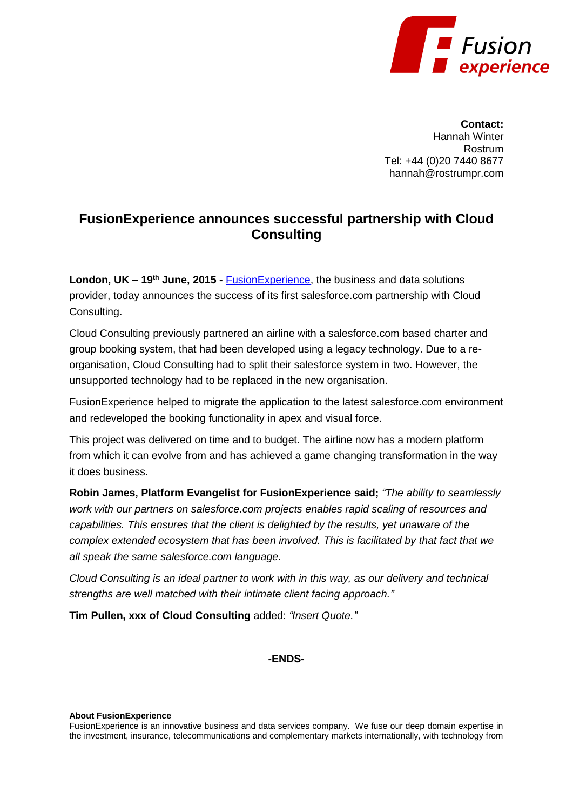

**Contact:** Hannah Winter Rostrum Tel: +44 (0)20 7440 8677 hannah@rostrumpr.com

## **FusionExperience announces successful partnership with Cloud Consulting**

**London, UK – 19th June, 2015 -** [FusionExperience,](http://fusion-experience.com/) the business and data solutions provider, today announces the success of its first salesforce.com partnership with Cloud Consulting.

Cloud Consulting previously partnered an airline with a salesforce.com based charter and group booking system, that had been developed using a legacy technology. Due to a reorganisation, Cloud Consulting had to split their salesforce system in two. However, the unsupported technology had to be replaced in the new organisation.

FusionExperience helped to migrate the application to the latest salesforce.com environment and redeveloped the booking functionality in apex and visual force.

This project was delivered on time and to budget. The airline now has a modern platform from which it can evolve from and has achieved a game changing transformation in the way it does business.

**Robin James, Platform Evangelist for FusionExperience said;** *"The ability to seamlessly work with our partners on salesforce.com projects enables rapid scaling of resources and capabilities. This ensures that the client is delighted by the results, yet unaware of the complex extended ecosystem that has been involved. This is facilitated by that fact that we all speak the same salesforce.com language.*

*Cloud Consulting is an ideal partner to work with in this way, as our delivery and technical strengths are well matched with their intimate client facing approach."* 

**Tim Pullen, xxx of Cloud Consulting** added: *"Insert Quote."*

## **-ENDS-**

## **About FusionExperience**

FusionExperience is an innovative business and data services company. We fuse our deep domain expertise in the investment, insurance, telecommunications and complementary markets internationally, with technology from